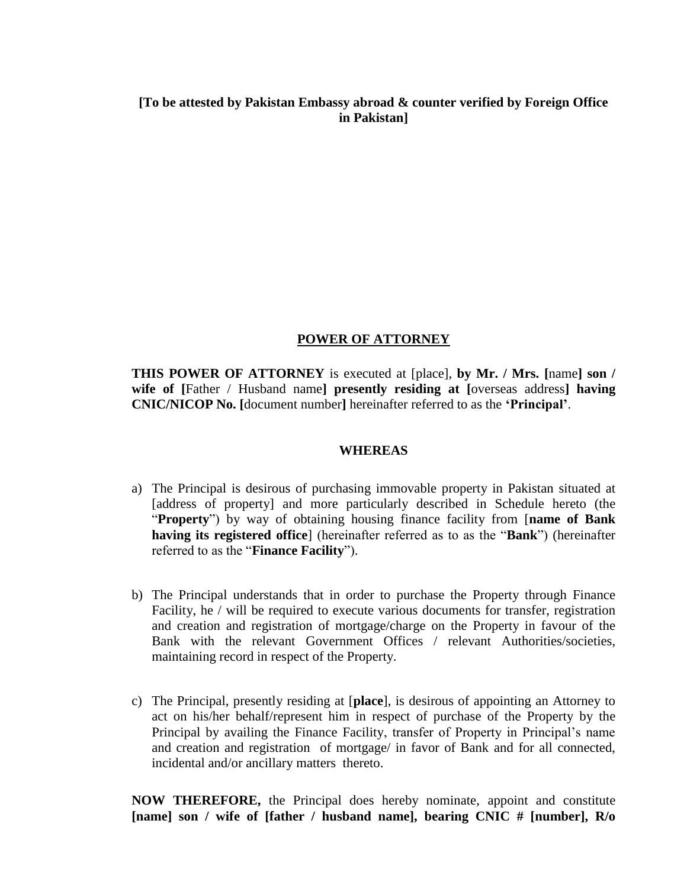## **[To be attested by Pakistan Embassy abroad & counter verified by Foreign Office in Pakistan]**

## **POWER OF ATTORNEY**

**THIS POWER OF ATTORNEY** is executed at [place], **by Mr. / Mrs. [**name**] son / wife of [**Father / Husband name**] presently residing at [**overseas address**] having CNIC/NICOP No. [**document number**]** hereinafter referred to as the **'Principal'**.

## **WHEREAS**

- a) The Principal is desirous of purchasing immovable property in Pakistan situated at [address of property] and more particularly described in Schedule hereto (the "**Property**") by way of obtaining housing finance facility from [**name of Bank having its registered office**] (hereinafter referred as to as the "**Bank**") (hereinafter referred to as the "**Finance Facility**").
- b) The Principal understands that in order to purchase the Property through Finance Facility, he / will be required to execute various documents for transfer, registration and creation and registration of mortgage/charge on the Property in favour of the Bank with the relevant Government Offices / relevant Authorities/societies, maintaining record in respect of the Property.
- c) The Principal, presently residing at [**place**], is desirous of appointing an Attorney to act on his/her behalf/represent him in respect of purchase of the Property by the Principal by availing the Finance Facility, transfer of Property in Principal's name and creation and registration of mortgage/ in favor of Bank and for all connected, incidental and/or ancillary matters thereto.

**NOW THEREFORE,** the Principal does hereby nominate, appoint and constitute **[name] son / wife of [father / husband name], bearing CNIC # [number], R/o**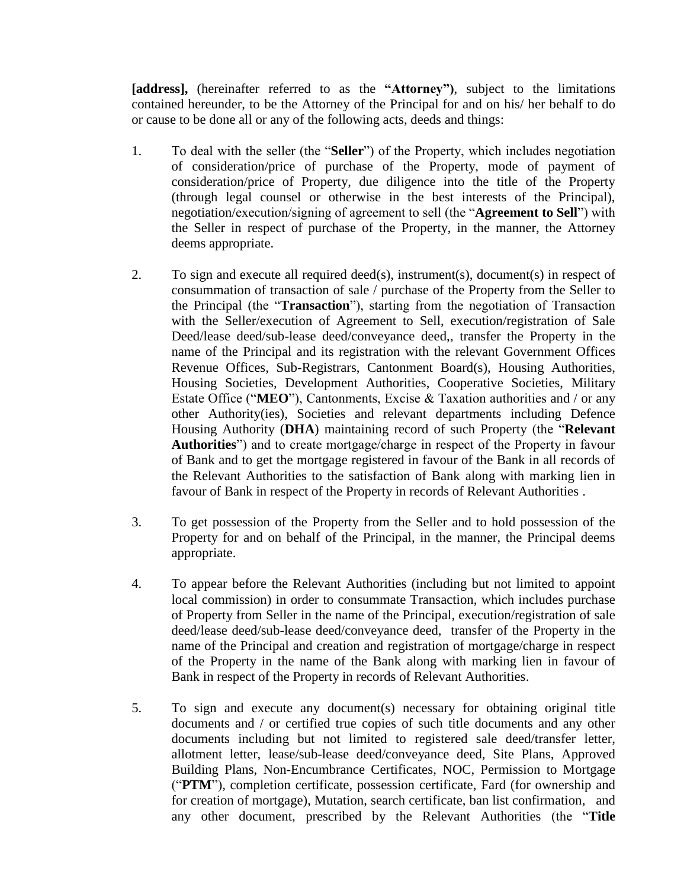**[address],** (hereinafter referred to as the **"Attorney")**, subject to the limitations contained hereunder, to be the Attorney of the Principal for and on his/ her behalf to do or cause to be done all or any of the following acts, deeds and things:

- 1. To deal with the seller (the "**Seller**") of the Property, which includes negotiation of consideration/price of purchase of the Property, mode of payment of consideration/price of Property, due diligence into the title of the Property (through legal counsel or otherwise in the best interests of the Principal), negotiation/execution/signing of agreement to sell (the "**Agreement to Sell**") with the Seller in respect of purchase of the Property, in the manner, the Attorney deems appropriate.
- 2. To sign and execute all required deed(s), instrument(s), document(s) in respect of consummation of transaction of sale / purchase of the Property from the Seller to the Principal (the "**Transaction**"), starting from the negotiation of Transaction with the Seller/execution of Agreement to Sell, execution/registration of Sale Deed/lease deed/sub-lease deed/conveyance deed,, transfer the Property in the name of the Principal and its registration with the relevant Government Offices Revenue Offices, Sub-Registrars, Cantonment Board(s), Housing Authorities, Housing Societies, Development Authorities, Cooperative Societies, Military Estate Office ("**MEO**"), Cantonments, Excise & Taxation authorities and / or any other Authority(ies), Societies and relevant departments including Defence Housing Authority (**DHA**) maintaining record of such Property (the "**Relevant Authorities**") and to create mortgage/charge in respect of the Property in favour of Bank and to get the mortgage registered in favour of the Bank in all records of the Relevant Authorities to the satisfaction of Bank along with marking lien in favour of Bank in respect of the Property in records of Relevant Authorities .
- 3. To get possession of the Property from the Seller and to hold possession of the Property for and on behalf of the Principal, in the manner, the Principal deems appropriate.
- 4. To appear before the Relevant Authorities (including but not limited to appoint local commission) in order to consummate Transaction, which includes purchase of Property from Seller in the name of the Principal, execution/registration of sale deed/lease deed/sub-lease deed/conveyance deed, transfer of the Property in the name of the Principal and creation and registration of mortgage/charge in respect of the Property in the name of the Bank along with marking lien in favour of Bank in respect of the Property in records of Relevant Authorities.
- 5. To sign and execute any document(s) necessary for obtaining original title documents and / or certified true copies of such title documents and any other documents including but not limited to registered sale deed/transfer letter, allotment letter, lease/sub-lease deed/conveyance deed, Site Plans, Approved Building Plans, Non-Encumbrance Certificates, NOC, Permission to Mortgage ("**PTM**"), completion certificate, possession certificate, Fard (for ownership and for creation of mortgage), Mutation, search certificate, ban list confirmation, and any other document, prescribed by the Relevant Authorities (the "**Title**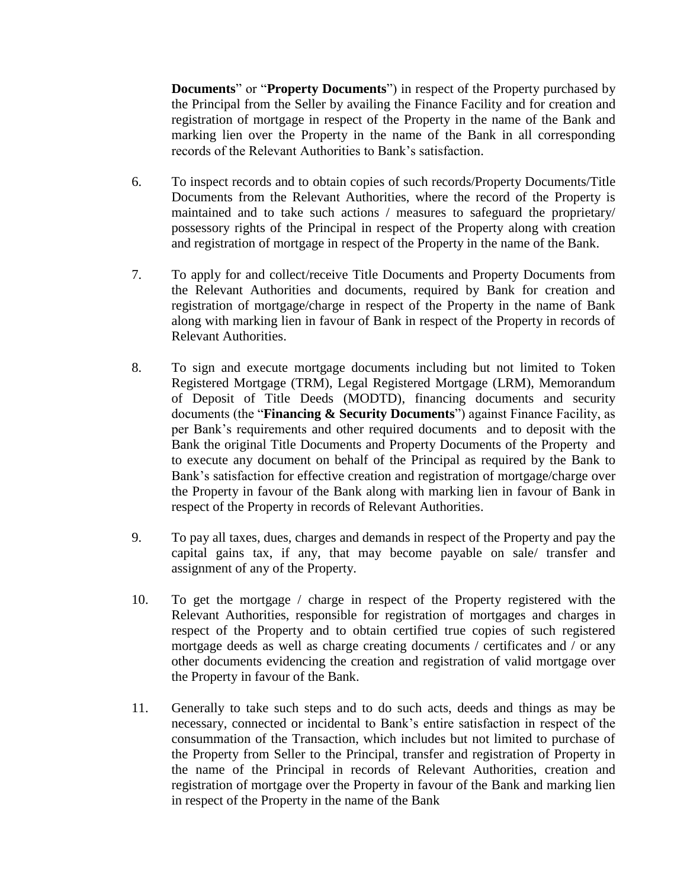**Documents**" or "**Property Documents**") in respect of the Property purchased by the Principal from the Seller by availing the Finance Facility and for creation and registration of mortgage in respect of the Property in the name of the Bank and marking lien over the Property in the name of the Bank in all corresponding records of the Relevant Authorities to Bank's satisfaction.

- 6. To inspect records and to obtain copies of such records/Property Documents/Title Documents from the Relevant Authorities, where the record of the Property is maintained and to take such actions / measures to safeguard the proprietary/ possessory rights of the Principal in respect of the Property along with creation and registration of mortgage in respect of the Property in the name of the Bank.
- 7. To apply for and collect/receive Title Documents and Property Documents from the Relevant Authorities and documents, required by Bank for creation and registration of mortgage/charge in respect of the Property in the name of Bank along with marking lien in favour of Bank in respect of the Property in records of Relevant Authorities.
- 8. To sign and execute mortgage documents including but not limited to Token Registered Mortgage (TRM), Legal Registered Mortgage (LRM), Memorandum of Deposit of Title Deeds (MODTD), financing documents and security documents (the "**Financing & Security Documents**") against Finance Facility, as per Bank's requirements and other required documents and to deposit with the Bank the original Title Documents and Property Documents of the Property and to execute any document on behalf of the Principal as required by the Bank to Bank's satisfaction for effective creation and registration of mortgage/charge over the Property in favour of the Bank along with marking lien in favour of Bank in respect of the Property in records of Relevant Authorities.
- 9. To pay all taxes, dues, charges and demands in respect of the Property and pay the capital gains tax, if any, that may become payable on sale/ transfer and assignment of any of the Property.
- 10. To get the mortgage / charge in respect of the Property registered with the Relevant Authorities, responsible for registration of mortgages and charges in respect of the Property and to obtain certified true copies of such registered mortgage deeds as well as charge creating documents / certificates and / or any other documents evidencing the creation and registration of valid mortgage over the Property in favour of the Bank.
- 11. Generally to take such steps and to do such acts, deeds and things as may be necessary, connected or incidental to Bank's entire satisfaction in respect of the consummation of the Transaction, which includes but not limited to purchase of the Property from Seller to the Principal, transfer and registration of Property in the name of the Principal in records of Relevant Authorities, creation and registration of mortgage over the Property in favour of the Bank and marking lien in respect of the Property in the name of the Bank